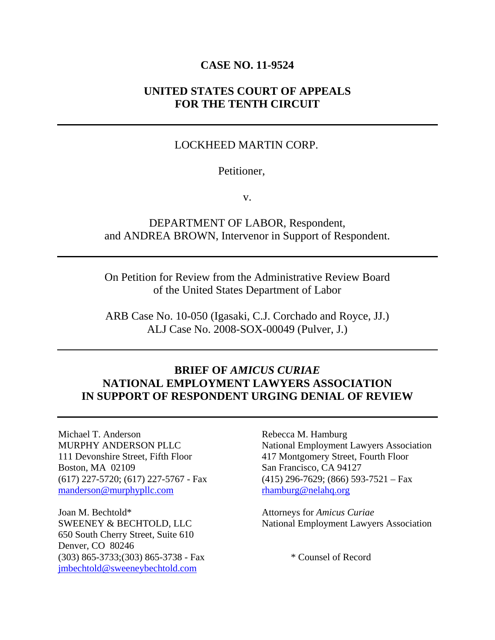#### **CASE NO. 11-9524**

### **UNITED STATES COURT OF APPEALS FOR THE TENTH CIRCUIT**

#### LOCKHEED MARTIN CORP.

#### Petitioner,

v.

# DEPARTMENT OF LABOR, Respondent, and ANDREA BROWN, Intervenor in Support of Respondent.

On Petition for Review from the Administrative Review Board of the United States Department of Labor

ARB Case No. 10-050 (Igasaki, C.J. Corchado and Royce, JJ.) ALJ Case No. 2008-SOX-00049 (Pulver, J.)

### **BRIEF OF** *AMICUS CURIAE* **NATIONAL EMPLOYMENT LAWYERS ASSOCIATION IN SUPPORT OF RESPONDENT URGING DENIAL OF REVIEW**

Michael T. Anderson MURPHY ANDERSON PLLC 111 Devonshire Street, Fifth Floor Boston, MA 02109 (617) 227-5720; (617) 227-5767 - Fax manderson@murphypllc.com

Joan M. Bechtold\* SWEENEY & BECHTOLD, LLC 650 South Cherry Street, Suite 610 Denver, CO 80246 (303) 865-3733;(303) 865-3738 - Fax jmbechtold@sweeneybechtold.com

Rebecca M. Hamburg National Employment Lawyers Association 417 Montgomery Street, Fourth Floor San Francisco, CA 94127  $(415)$  296-7629; (866) 593-7521 – Fax rhamburg@nelahq.org

Attorneys for *Amicus Curiae*  National Employment Lawyers Association

\* Counsel of Record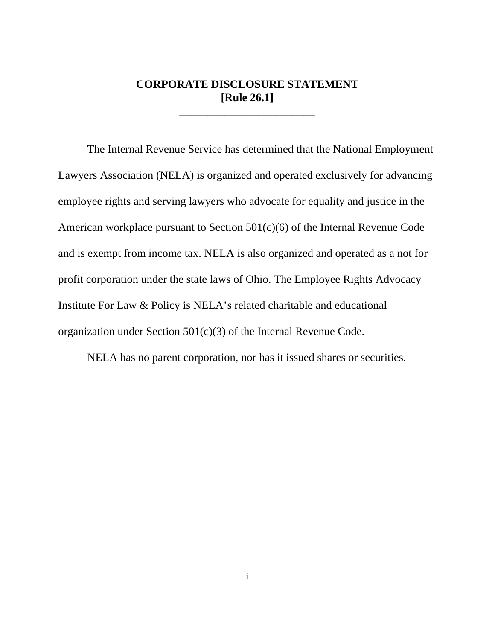# **CORPORATE DISCLOSURE STATEMENT [Rule 26.1]**

\_\_\_\_\_\_\_\_\_\_\_\_\_\_\_\_\_\_\_\_\_\_\_\_

 The Internal Revenue Service has determined that the National Employment Lawyers Association (NELA) is organized and operated exclusively for advancing employee rights and serving lawyers who advocate for equality and justice in the American workplace pursuant to Section 501(c)(6) of the Internal Revenue Code and is exempt from income tax. NELA is also organized and operated as a not for profit corporation under the state laws of Ohio. The Employee Rights Advocacy Institute For Law & Policy is NELA's related charitable and educational organization under Section 501(c)(3) of the Internal Revenue Code.

NELA has no parent corporation, nor has it issued shares or securities.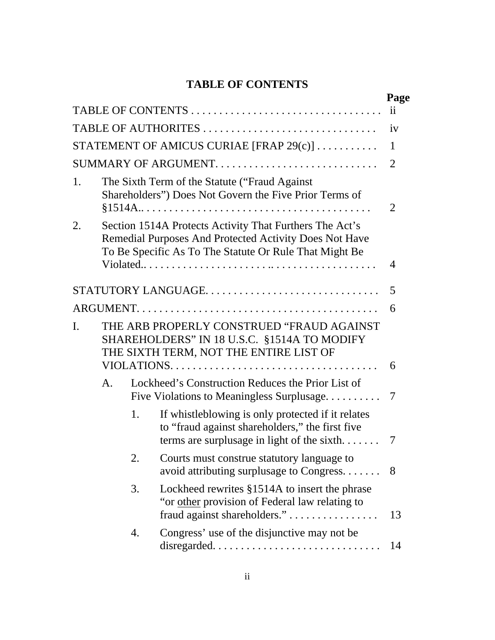# **TABLE OF CONTENTS**

|    |                                                                                                                                    |    |                                                                                                                                                                             | Page            |  |
|----|------------------------------------------------------------------------------------------------------------------------------------|----|-----------------------------------------------------------------------------------------------------------------------------------------------------------------------------|-----------------|--|
|    |                                                                                                                                    |    | TABLE OF CONTENTS                                                                                                                                                           | $\overline{11}$ |  |
|    |                                                                                                                                    |    |                                                                                                                                                                             | iv              |  |
|    |                                                                                                                                    |    | STATEMENT OF AMICUS CURIAE [FRAP 29(c)]                                                                                                                                     | 1               |  |
|    |                                                                                                                                    |    |                                                                                                                                                                             | $\overline{2}$  |  |
| 1. |                                                                                                                                    |    | The Sixth Term of the Statute ("Fraud Against"<br>Shareholders") Does Not Govern the Five Prior Terms of                                                                    | 2               |  |
| 2. |                                                                                                                                    |    | Section 1514A Protects Activity That Furthers The Act's<br>Remedial Purposes And Protected Activity Does Not Have<br>To Be Specific As To The Statute Or Rule That Might Be | 4               |  |
|    |                                                                                                                                    |    | STATUTORY LANGUAGE                                                                                                                                                          | 5               |  |
|    |                                                                                                                                    |    |                                                                                                                                                                             | 6               |  |
| I. | THE ARB PROPERLY CONSTRUED "FRAUD AGAINST<br>SHAREHOLDERS" IN 18 U.S.C. §1514A TO MODIFY<br>THE SIXTH TERM, NOT THE ENTIRE LIST OF |    |                                                                                                                                                                             |                 |  |
|    |                                                                                                                                    |    |                                                                                                                                                                             | 6               |  |
|    | A <sub>1</sub>                                                                                                                     |    | Lockheed's Construction Reduces the Prior List of<br>Five Violations to Meaningless Surplusage                                                                              | 7               |  |
|    |                                                                                                                                    | 1. | If whistleblowing is only protected if it relates<br>to "fraud against shareholders," the first five<br>terms are surplusage in light of the sixth                          | 7               |  |
|    |                                                                                                                                    | 2. | Courts must construe statutory language to<br>avoid attributing surplusage to Congress.                                                                                     | - 8             |  |
|    |                                                                                                                                    | 3. | Lockheed rewrites §1514A to insert the phrase<br>"or other provision of Federal law relating to<br>fraud against shareholders."                                             | 13              |  |
|    |                                                                                                                                    | 4. | Congress' use of the disjunctive may not be                                                                                                                                 | 14              |  |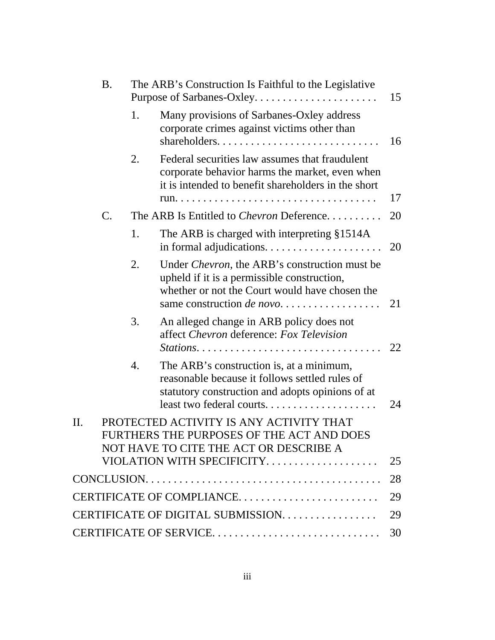|     | <b>B.</b> |    | The ARB's Construction Is Faithful to the Legislative<br>Purpose of Sarbanes-Oxley                                                                                                         | 15 |
|-----|-----------|----|--------------------------------------------------------------------------------------------------------------------------------------------------------------------------------------------|----|
|     |           | 1. | Many provisions of Sarbanes-Oxley address<br>corporate crimes against victims other than                                                                                                   | 16 |
|     |           | 2. | Federal securities law assumes that fraudulent<br>corporate behavior harms the market, even when<br>it is intended to benefit shareholders in the short                                    |    |
|     |           |    |                                                                                                                                                                                            | 17 |
|     | C.        |    | The ARB Is Entitled to <i>Chevron</i> Deference                                                                                                                                            | 20 |
|     |           | 1. | The ARB is charged with interpreting §1514A                                                                                                                                                | 20 |
|     |           | 2. | Under <i>Chevron</i> , the ARB's construction must be<br>upheld if it is a permissible construction,<br>whether or not the Court would have chosen the<br>same construction <i>de novo</i> | 21 |
|     |           | 3. | An alleged change in ARB policy does not<br>affect Chevron deference: Fox Television                                                                                                       | 22 |
|     |           | 4. | The ARB's construction is, at a minimum,<br>reasonable because it follows settled rules of<br>statutory construction and adopts opinions of at                                             | 24 |
| II. |           |    | PROTECTED ACTIVITY IS ANY ACTIVITY THAT<br>FURTHERS THE PURPOSES OF THE ACT AND DOES<br>NOT HAVE TO CITE THE ACT OR DESCRIBE A                                                             |    |
|     |           |    | VIOLATION WITH SPECIFICITY                                                                                                                                                                 | 25 |
|     |           |    |                                                                                                                                                                                            | 28 |
|     |           |    | CERTIFICATE OF COMPLIANCE                                                                                                                                                                  | 29 |
|     |           |    | CERTIFICATE OF DIGITAL SUBMISSION.                                                                                                                                                         | 29 |
|     |           |    |                                                                                                                                                                                            | 30 |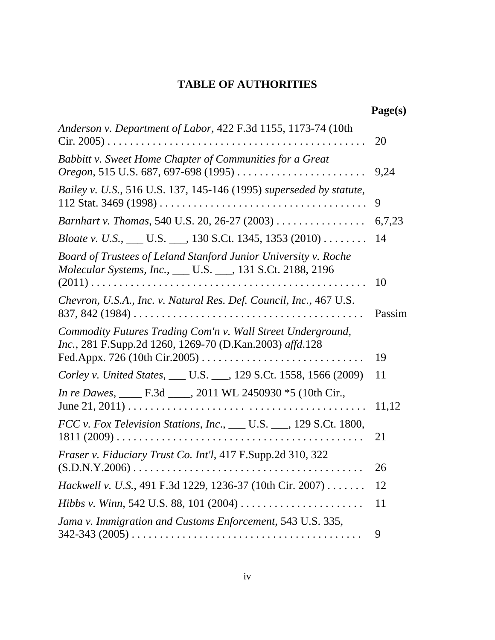# **TABLE OF AUTHORITIES**

| Anderson v. Department of Labor, 422 F.3d 1155, 1173-74 (10th                                                                  | 20     |
|--------------------------------------------------------------------------------------------------------------------------------|--------|
| Babbitt v. Sweet Home Chapter of Communities for a Great<br>Oregon, 515 U.S. 687, 697-698 (1995)                               | 9,24   |
| Bailey v. U.S., 516 U.S. 137, 145-146 (1995) superseded by statute,                                                            | 9      |
| Barnhart v. Thomas, 540 U.S. 20, 26-27 (2003)                                                                                  | 6,7,23 |
| <i>Bloate v. U.S.</i> , ___ U.S. ___, 130 S.Ct. 1345, 1353 (2010)                                                              | 14     |
| Board of Trustees of Leland Stanford Junior University v. Roche<br>Molecular Systems, Inc., ___ U.S. ___, 131 S.Ct. 2188, 2196 |        |
|                                                                                                                                | 10     |
| Chevron, U.S.A., Inc. v. Natural Res. Def. Council, Inc., 467 U.S.                                                             | Passim |
| Commodity Futures Trading Com'n v. Wall Street Underground,<br>Inc., 281 F.Supp.2d 1260, 1269-70 (D.Kan.2003) affd.128         | 19     |
| Corley v. United States, ___ U.S. ___, 129 S.Ct. 1558, 1566 (2009)                                                             | 11     |
|                                                                                                                                | 11,12  |
| FCC v. Fox Television Stations, Inc., ___ U.S. ___, 129 S.Ct. 1800,                                                            | 21     |
| Fraser v. Fiduciary Trust Co. Int'l, 417 F.Supp.2d 310, 322                                                                    | 26     |
| Hackwell v. U.S., 491 F.3d 1229, 1236-37 (10th Cir. 2007)                                                                      | 12     |
|                                                                                                                                | 11     |
| Jama v. Immigration and Customs Enforcement, 543 U.S. 335,                                                                     | 9      |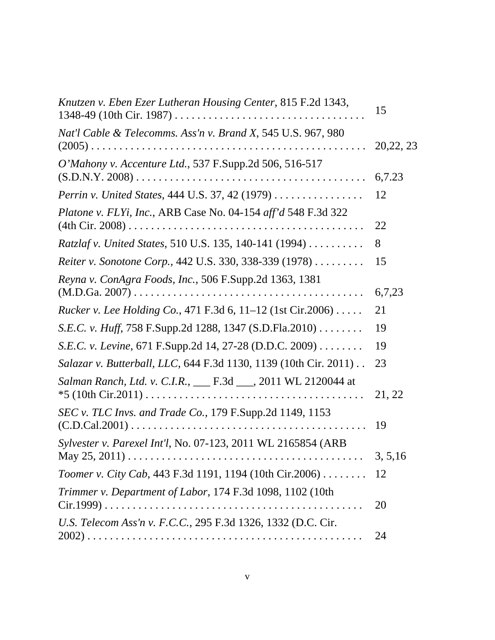| Knutzen v. Eben Ezer Lutheran Housing Center, 815 F.2d 1343,                          | 15         |
|---------------------------------------------------------------------------------------|------------|
| Nat'l Cable & Telecomms. Ass'n v. Brand X, 545 U.S. 967, 980                          | 20, 22, 23 |
| O'Mahony v. Accenture Ltd., 537 F.Supp.2d 506, 516-517                                | 6,7.23     |
| Perrin v. United States, 444 U.S. 37, 42 (1979)                                       | 12         |
| Platone v. FLYi, Inc., ARB Case No. 04-154 aff'd 548 F.3d 322                         | 22         |
| Ratzlaf v. United States, 510 U.S. 135, 140-141 (1994)                                | 8          |
| Reiter v. Sonotone Corp., 442 U.S. 330, 338-339 (1978)                                | 15         |
| Reyna v. ConAgra Foods, Inc., 506 F.Supp.2d 1363, 1381                                | 6,7,23     |
| <i>Rucker v. Lee Holding Co., 471 F.3d 6, 11–12 (1st Cir.2006) </i>                   | 21         |
| S.E.C. v. Huff, 758 F.Supp.2d 1288, 1347 (S.D.Fla.2010)                               | 19         |
| S.E.C. v. Levine, 671 F.Supp.2d 14, 27-28 (D.D.C. 2009)                               | 19         |
| Salazar v. Butterball, LLC, 644 F.3d 1130, 1139 (10th Cir. 2011).                     | 23         |
| Salman Ranch, Ltd. v. C.I.R., ___ F.3d ___, 2011 WL 2120044 at<br>$*5(10th Cir.2011)$ | 21, 22     |
| <i>SEC v. TLC Invs. and Trade Co., 179 F.Supp.2d 1149, 1153</i>                       | 19         |
| Sylvester v. Parexel Int'l, No. 07-123, 2011 WL 2165854 (ARB                          | 3.5.16     |
| Toomer v. City Cab, 443 F.3d 1191, 1194 (10th Cir.2006) 12                            |            |
| Trimmer v. Department of Labor, 174 F.3d 1098, 1102 (10th                             | 20         |
| U.S. Telecom Ass'n v. F.C.C., 295 F.3d 1326, 1332 (D.C. Cir.                          | 24         |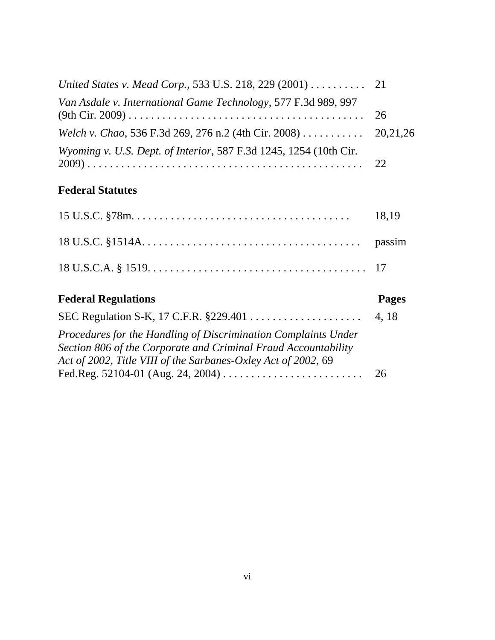| United States v. Mead Corp., 533 U.S. 218, 229 (2001) 21                  |  |
|---------------------------------------------------------------------------|--|
| Van Asdale v. International Game Technology, 577 F.3d 989, 997            |  |
| Welch v. Chao, 536 F.3d 269, 276 n.2 (4th Cir. 2008) 20,21,26             |  |
| <i>Wyoming v. U.S. Dept. of Interior, 587 F.3d 1245, 1254 (10th Cir.)</i> |  |

# **Federal Statutes**

|                            | 18,19 |
|----------------------------|-------|
|                            |       |
|                            |       |
| <b>Federal Regulations</b> | Pages |
|                            |       |
|                            | 4, 18 |

Fed.Reg. 52104-01 (Aug. 24, 2004) . . . . . . . . . . . . . . . . . . . . . . . . . 26

*Act of 2002, Title VIII of the Sarbanes-Oxley Act of 2002*, 69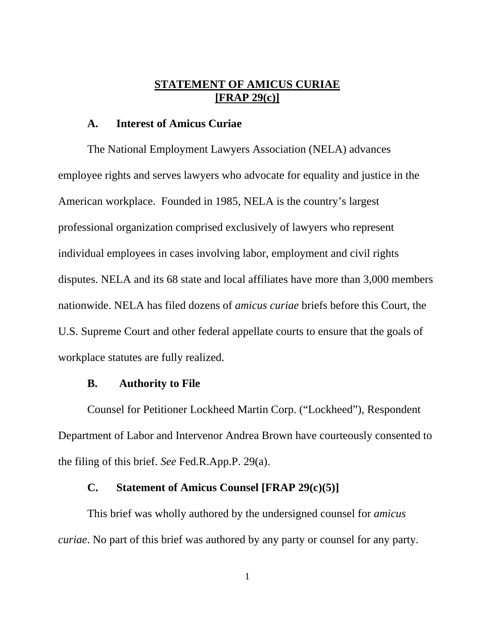### **STATEMENT OF AMICUS CURIAE [FRAP 29(c)]**

#### **A. Interest of Amicus Curiae**

 The National Employment Lawyers Association (NELA) advances employee rights and serves lawyers who advocate for equality and justice in the American workplace. Founded in 1985, NELA is the country's largest professional organization comprised exclusively of lawyers who represent individual employees in cases involving labor, employment and civil rights disputes. NELA and its 68 state and local affiliates have more than 3,000 members nationwide. NELA has filed dozens of *amicus curiae* briefs before this Court, the U.S. Supreme Court and other federal appellate courts to ensure that the goals of workplace statutes are fully realized.

#### **B. Authority to File**

 Counsel for Petitioner Lockheed Martin Corp. ("Lockheed"), Respondent Department of Labor and Intervenor Andrea Brown have courteously consented to the filing of this brief. *See* Fed.R.App.P. 29(a).

### **C. Statement of Amicus Counsel [FRAP 29(c)(5)]**

 This brief was wholly authored by the undersigned counsel for *amicus curiae*. No part of this brief was authored by any party or counsel for any party.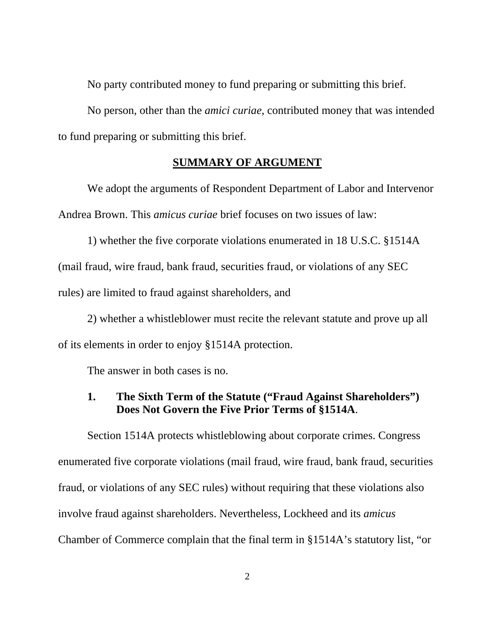No party contributed money to fund preparing or submitting this brief.

No person, other than the *amici curiae*, contributed money that was intended to fund preparing or submitting this brief.

#### **SUMMARY OF ARGUMENT**

 We adopt the arguments of Respondent Department of Labor and Intervenor Andrea Brown. This *amicus curiae* brief focuses on two issues of law:

 1) whether the five corporate violations enumerated in 18 U.S.C. §1514A (mail fraud, wire fraud, bank fraud, securities fraud, or violations of any SEC rules) are limited to fraud against shareholders, and

 2) whether a whistleblower must recite the relevant statute and prove up all of its elements in order to enjoy §1514A protection.

The answer in both cases is no.

### **1. The Sixth Term of the Statute ("Fraud Against Shareholders") Does Not Govern the Five Prior Terms of §1514A**.

 Section 1514A protects whistleblowing about corporate crimes. Congress enumerated five corporate violations (mail fraud, wire fraud, bank fraud, securities fraud, or violations of any SEC rules) without requiring that these violations also involve fraud against shareholders. Nevertheless, Lockheed and its *amicus* Chamber of Commerce complain that the final term in §1514A's statutory list, "or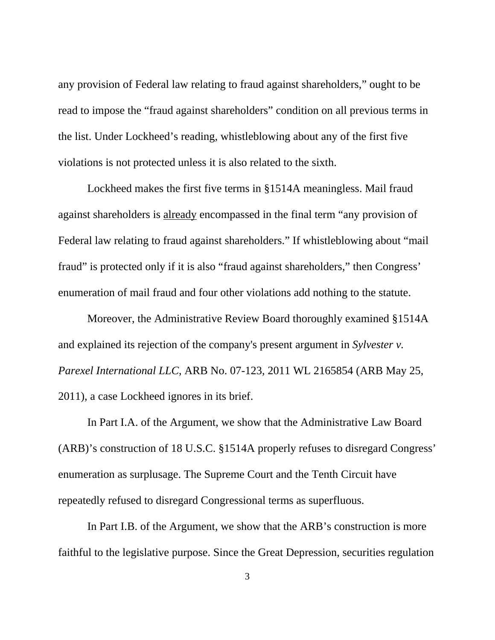any provision of Federal law relating to fraud against shareholders," ought to be read to impose the "fraud against shareholders" condition on all previous terms in the list. Under Lockheed's reading, whistleblowing about any of the first five violations is not protected unless it is also related to the sixth.

 Lockheed makes the first five terms in §1514A meaningless. Mail fraud against shareholders is already encompassed in the final term "any provision of Federal law relating to fraud against shareholders." If whistleblowing about "mail fraud" is protected only if it is also "fraud against shareholders," then Congress' enumeration of mail fraud and four other violations add nothing to the statute.

 Moreover, the Administrative Review Board thoroughly examined §1514A and explained its rejection of the company's present argument in *Sylvester v. Parexel International LLC*, ARB No. 07-123, 2011 WL 2165854 (ARB May 25, 2011), a case Lockheed ignores in its brief.

 In Part I.A. of the Argument, we show that the Administrative Law Board (ARB)'s construction of 18 U.S.C. §1514A properly refuses to disregard Congress' enumeration as surplusage. The Supreme Court and the Tenth Circuit have repeatedly refused to disregard Congressional terms as superfluous.

 In Part I.B. of the Argument, we show that the ARB's construction is more faithful to the legislative purpose. Since the Great Depression, securities regulation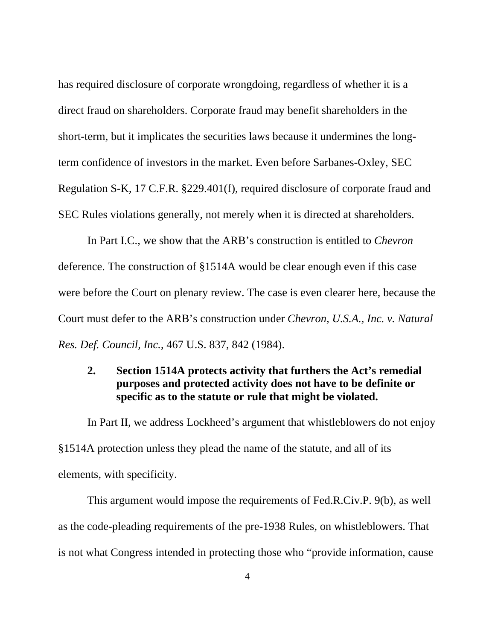has required disclosure of corporate wrongdoing, regardless of whether it is a direct fraud on shareholders. Corporate fraud may benefit shareholders in the short-term, but it implicates the securities laws because it undermines the longterm confidence of investors in the market. Even before Sarbanes-Oxley, SEC Regulation S-K, 17 C.F.R. §229.401(f), required disclosure of corporate fraud and SEC Rules violations generally, not merely when it is directed at shareholders.

 In Part I.C., we show that the ARB's construction is entitled to *Chevron* deference. The construction of §1514A would be clear enough even if this case were before the Court on plenary review. The case is even clearer here, because the Court must defer to the ARB's construction under *Chevron, U.S.A., Inc. v. Natural Res. Def. Council, Inc.*, 467 U.S. 837, 842 (1984).

# **2. Section 1514A protects activity that furthers the Act's remedial purposes and protected activity does not have to be definite or specific as to the statute or rule that might be violated.**

 In Part II, we address Lockheed's argument that whistleblowers do not enjoy §1514A protection unless they plead the name of the statute, and all of its elements, with specificity.

 This argument would impose the requirements of Fed.R.Civ.P. 9(b), as well as the code-pleading requirements of the pre-1938 Rules, on whistleblowers. That is not what Congress intended in protecting those who "provide information, cause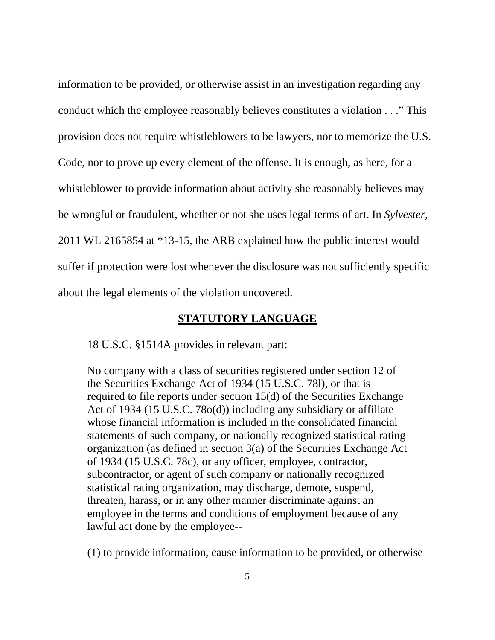information to be provided, or otherwise assist in an investigation regarding any conduct which the employee reasonably believes constitutes a violation . . ." This provision does not require whistleblowers to be lawyers, nor to memorize the U.S. Code, nor to prove up every element of the offense. It is enough, as here, for a whistleblower to provide information about activity she reasonably believes may be wrongful or fraudulent, whether or not she uses legal terms of art. In *Sylvester*, 2011 WL 2165854 at \*13-15, the ARB explained how the public interest would suffer if protection were lost whenever the disclosure was not sufficiently specific about the legal elements of the violation uncovered.

#### **STATUTORY LANGUAGE**

18 U.S.C. §1514A provides in relevant part:

No company with a class of securities registered under section 12 of the Securities Exchange Act of 1934 (15 U.S.C. 78l), or that is required to file reports under section 15(d) of the Securities Exchange Act of 1934 (15 U.S.C. 78o(d)) including any subsidiary or affiliate whose financial information is included in the consolidated financial statements of such company, or nationally recognized statistical rating organization (as defined in section 3(a) of the Securities Exchange Act of 1934 (15 U.S.C. 78c), or any officer, employee, contractor, subcontractor, or agent of such company or nationally recognized statistical rating organization, may discharge, demote, suspend, threaten, harass, or in any other manner discriminate against an employee in the terms and conditions of employment because of any lawful act done by the employee--

(1) to provide information, cause information to be provided, or otherwise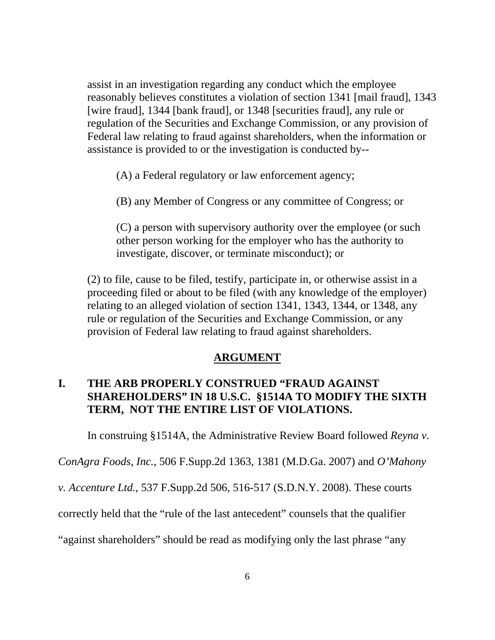assist in an investigation regarding any conduct which the employee reasonably believes constitutes a violation of section 1341 [mail fraud], 1343 [wire fraud], 1344 [bank fraud], or 1348 [securities fraud], any rule or regulation of the Securities and Exchange Commission, or any provision of Federal law relating to fraud against shareholders, when the information or assistance is provided to or the investigation is conducted by--

(A) a Federal regulatory or law enforcement agency;

(B) any Member of Congress or any committee of Congress; or

(C) a person with supervisory authority over the employee (or such other person working for the employer who has the authority to investigate, discover, or terminate misconduct); or

(2) to file, cause to be filed, testify, participate in, or otherwise assist in a proceeding filed or about to be filed (with any knowledge of the employer) relating to an alleged violation of section 1341, 1343, 1344, or 1348, any rule or regulation of the Securities and Exchange Commission, or any provision of Federal law relating to fraud against shareholders.

#### **ARGUMENT**

# **I. THE ARB PROPERLY CONSTRUED "FRAUD AGAINST SHAREHOLDERS" IN 18 U.S.C. §1514A TO MODIFY THE SIXTH TERM, NOT THE ENTIRE LIST OF VIOLATIONS.**

In construing §1514A, the Administrative Review Board followed *Reyna v.* 

*ConAgra Foods, Inc.*, 506 F.Supp.2d 1363, 1381 (M.D.Ga. 2007) and *O'Mahony* 

*v. Accenture Ltd.*, 537 F.Supp.2d 506, 516-517 (S.D.N.Y. 2008). These courts

correctly held that the "rule of the last antecedent" counsels that the qualifier

"against shareholders" should be read as modifying only the last phrase "any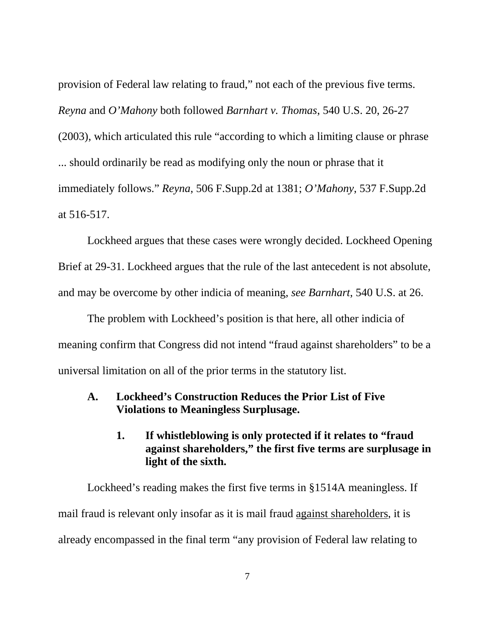provision of Federal law relating to fraud," not each of the previous five terms. *Reyna* and *O'Mahony* both followed *Barnhart v. Thomas*, 540 U.S. 20, 26-27 (2003), which articulated this rule "according to which a limiting clause or phrase ... should ordinarily be read as modifying only the noun or phrase that it immediately follows." *Reyna*, 506 F.Supp.2d at 1381; *O'Mahony*, 537 F.Supp.2d at 516-517.

 Lockheed argues that these cases were wrongly decided. Lockheed Opening Brief at 29-31. Lockheed argues that the rule of the last antecedent is not absolute, and may be overcome by other indicia of meaning, *see Barnhart*, 540 U.S. at 26.

 The problem with Lockheed's position is that here, all other indicia of meaning confirm that Congress did not intend "fraud against shareholders" to be a universal limitation on all of the prior terms in the statutory list.

### **A. Lockheed's Construction Reduces the Prior List of Five Violations to Meaningless Surplusage.**

 **1. If whistleblowing is only protected if it relates to "fraud against shareholders," the first five terms are surplusage in light of the sixth.**

 Lockheed's reading makes the first five terms in §1514A meaningless. If mail fraud is relevant only insofar as it is mail fraud against shareholders, it is already encompassed in the final term "any provision of Federal law relating to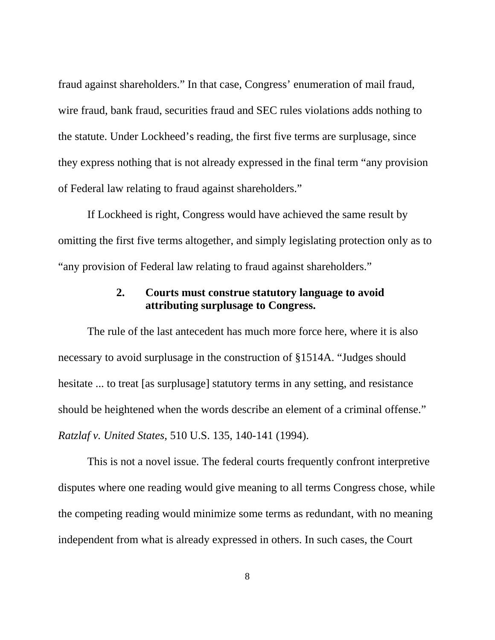fraud against shareholders." In that case, Congress' enumeration of mail fraud, wire fraud, bank fraud, securities fraud and SEC rules violations adds nothing to the statute. Under Lockheed's reading, the first five terms are surplusage, since they express nothing that is not already expressed in the final term "any provision of Federal law relating to fraud against shareholders."

 If Lockheed is right, Congress would have achieved the same result by omitting the first five terms altogether, and simply legislating protection only as to "any provision of Federal law relating to fraud against shareholders."

### **2. Courts must construe statutory language to avoid attributing surplusage to Congress.**

 The rule of the last antecedent has much more force here, where it is also necessary to avoid surplusage in the construction of §1514A. "Judges should hesitate ... to treat [as surplusage] statutory terms in any setting, and resistance should be heightened when the words describe an element of a criminal offense." *Ratzlaf v. United States*, 510 U.S. 135, 140-141 (1994).

 This is not a novel issue. The federal courts frequently confront interpretive disputes where one reading would give meaning to all terms Congress chose, while the competing reading would minimize some terms as redundant, with no meaning independent from what is already expressed in others. In such cases, the Court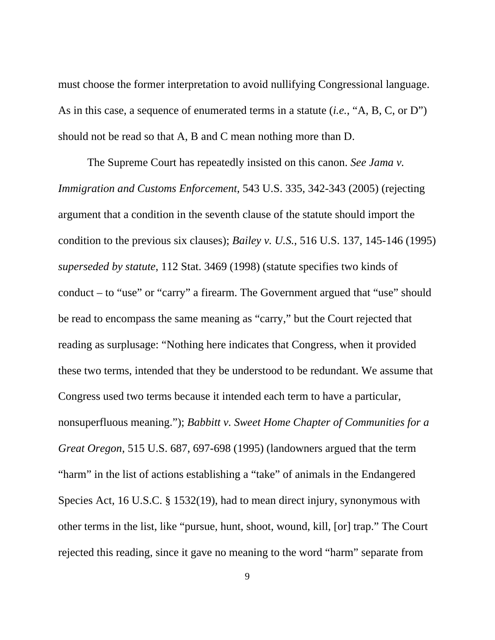must choose the former interpretation to avoid nullifying Congressional language. As in this case, a sequence of enumerated terms in a statute (*i.e.*, "A, B, C, or D") should not be read so that A, B and C mean nothing more than D.

 The Supreme Court has repeatedly insisted on this canon. *See Jama v. Immigration and Customs Enforcement*, 543 U.S. 335, 342-343 (2005) (rejecting argument that a condition in the seventh clause of the statute should import the condition to the previous six clauses); *Bailey v. U.S.*, 516 U.S. 137, 145-146 (1995) *superseded by statute*, 112 Stat. 3469 (1998) (statute specifies two kinds of conduct – to "use" or "carry" a firearm. The Government argued that "use" should be read to encompass the same meaning as "carry," but the Court rejected that reading as surplusage: "Nothing here indicates that Congress, when it provided these two terms, intended that they be understood to be redundant. We assume that Congress used two terms because it intended each term to have a particular, nonsuperfluous meaning."); *Babbitt v. Sweet Home Chapter of Communities for a Great Oregon*, 515 U.S. 687, 697-698 (1995) (landowners argued that the term "harm" in the list of actions establishing a "take" of animals in the Endangered Species Act, 16 U.S.C. § 1532(19), had to mean direct injury, synonymous with other terms in the list, like "pursue, hunt, shoot, wound, kill, [or] trap." The Court rejected this reading, since it gave no meaning to the word "harm" separate from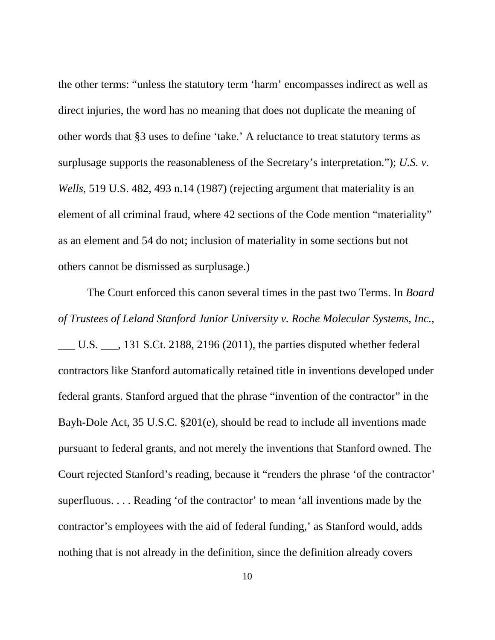the other terms: "unless the statutory term 'harm' encompasses indirect as well as direct injuries, the word has no meaning that does not duplicate the meaning of other words that §3 uses to define 'take.' A reluctance to treat statutory terms as surplusage supports the reasonableness of the Secretary's interpretation."); *U.S. v. Wells*, 519 U.S. 482, 493 n.14 (1987) (rejecting argument that materiality is an element of all criminal fraud, where 42 sections of the Code mention "materiality" as an element and 54 do not; inclusion of materiality in some sections but not others cannot be dismissed as surplusage.)

 The Court enforced this canon several times in the past two Terms. In *Board of Trustees of Leland Stanford Junior University v. Roche Molecular Systems, Inc.*,

\_\_\_ U.S. \_\_\_, 131 S.Ct. 2188, 2196 (2011), the parties disputed whether federal contractors like Stanford automatically retained title in inventions developed under federal grants. Stanford argued that the phrase "invention of the contractor" in the Bayh-Dole Act, 35 U.S.C. §201(e), should be read to include all inventions made pursuant to federal grants, and not merely the inventions that Stanford owned. The Court rejected Stanford's reading, because it "renders the phrase 'of the contractor' superfluous. . . . Reading 'of the contractor' to mean 'all inventions made by the contractor's employees with the aid of federal funding,' as Stanford would, adds nothing that is not already in the definition, since the definition already covers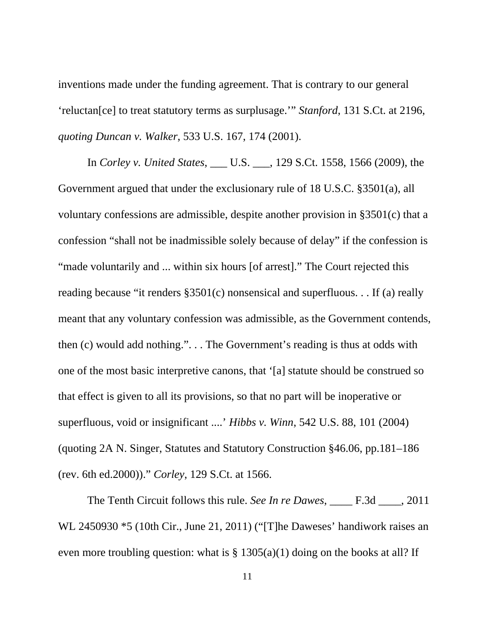inventions made under the funding agreement. That is contrary to our general 'reluctan[ce] to treat statutory terms as surplusage.'" *Stanford*, 131 S.Ct. at 2196, *quoting Duncan v. Walker*, 533 U.S. 167, 174 (2001).

 In *Corley v. United States*, \_\_\_ U.S. \_\_\_, 129 S.Ct. 1558, 1566 (2009), the Government argued that under the exclusionary rule of 18 U.S.C. §3501(a), all voluntary confessions are admissible, despite another provision in §3501(c) that a confession "shall not be inadmissible solely because of delay" if the confession is "made voluntarily and ... within six hours [of arrest]." The Court rejected this reading because "it renders §3501(c) nonsensical and superfluous. . . If (a) really meant that any voluntary confession was admissible, as the Government contends, then (c) would add nothing.". . . The Government's reading is thus at odds with one of the most basic interpretive canons, that '[a] statute should be construed so that effect is given to all its provisions, so that no part will be inoperative or superfluous, void or insignificant ....' *Hibbs v. Winn*, 542 U.S. 88, 101 (2004) (quoting 2A N. Singer, Statutes and Statutory Construction §46.06, pp.181–186 (rev. 6th ed.2000))." *Corley*, 129 S.Ct. at 1566.

 The Tenth Circuit follows this rule. *See In re Dawes*, \_\_\_\_ F.3d \_\_\_\_, 2011 WL 2450930 \*5 (10th Cir., June 21, 2011) ("[T]he Daweses' handiwork raises an even more troubling question: what is  $\S$  1305(a)(1) doing on the books at all? If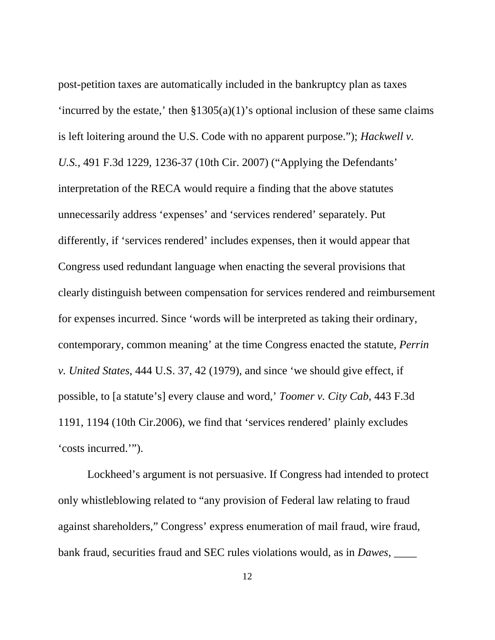post-petition taxes are automatically included in the bankruptcy plan as taxes 'incurred by the estate,' then  $\S 1305(a)(1)$ 's optional inclusion of these same claims is left loitering around the U.S. Code with no apparent purpose."); *Hackwell v. U.S.*, 491 F.3d 1229, 1236-37 (10th Cir. 2007) ("Applying the Defendants' interpretation of the RECA would require a finding that the above statutes unnecessarily address 'expenses' and 'services rendered' separately. Put differently, if 'services rendered' includes expenses, then it would appear that Congress used redundant language when enacting the several provisions that clearly distinguish between compensation for services rendered and reimbursement for expenses incurred. Since 'words will be interpreted as taking their ordinary, contemporary, common meaning' at the time Congress enacted the statute, *Perrin v. United States*, 444 U.S. 37, 42 (1979), and since 'we should give effect, if possible, to [a statute's] every clause and word,' *Toomer v. City Cab*, 443 F.3d 1191, 1194 (10th Cir.2006), we find that 'services rendered' plainly excludes 'costs incurred.'").

 Lockheed's argument is not persuasive. If Congress had intended to protect only whistleblowing related to "any provision of Federal law relating to fraud against shareholders," Congress' express enumeration of mail fraud, wire fraud, bank fraud, securities fraud and SEC rules violations would, as in *Dawes*, \_\_\_\_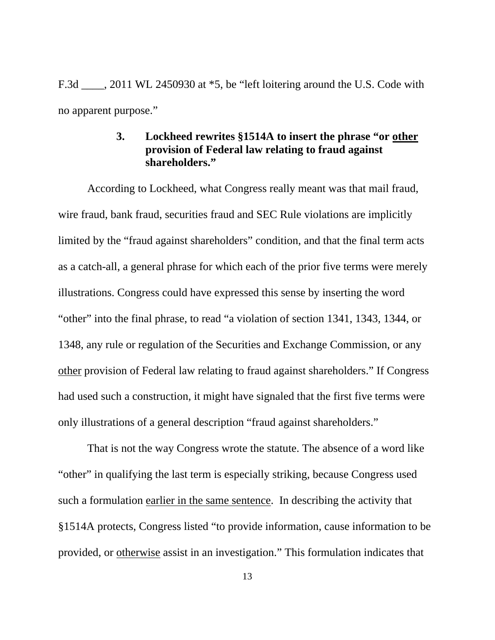F.3d  $\ldots$ , 2011 WL 2450930 at  $*5$ , be "left loitering around the U.S. Code with no apparent purpose."

### **3. Lockheed rewrites §1514A to insert the phrase "or other provision of Federal law relating to fraud against shareholders."**

 According to Lockheed, what Congress really meant was that mail fraud, wire fraud, bank fraud, securities fraud and SEC Rule violations are implicitly limited by the "fraud against shareholders" condition, and that the final term acts as a catch-all, a general phrase for which each of the prior five terms were merely illustrations. Congress could have expressed this sense by inserting the word "other" into the final phrase, to read "a violation of section 1341, 1343, 1344, or 1348, any rule or regulation of the Securities and Exchange Commission, or any other provision of Federal law relating to fraud against shareholders." If Congress had used such a construction, it might have signaled that the first five terms were only illustrations of a general description "fraud against shareholders."

 That is not the way Congress wrote the statute. The absence of a word like "other" in qualifying the last term is especially striking, because Congress used such a formulation earlier in the same sentence. In describing the activity that §1514A protects, Congress listed "to provide information, cause information to be provided, or otherwise assist in an investigation." This formulation indicates that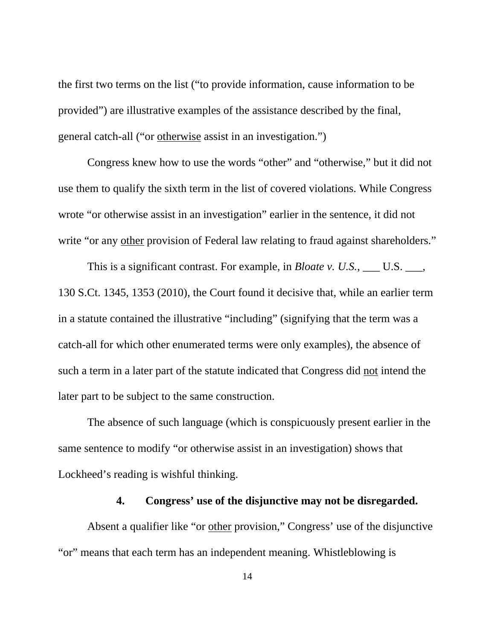the first two terms on the list ("to provide information, cause information to be provided") are illustrative examples of the assistance described by the final, general catch-all ("or otherwise assist in an investigation.")

Congress knew how to use the words "other" and "otherwise," but it did not use them to qualify the sixth term in the list of covered violations. While Congress wrote "or otherwise assist in an investigation" earlier in the sentence, it did not write "or any other provision of Federal law relating to fraud against shareholders."

This is a significant contrast. For example, in *Bloate v. U.S.*, \_\_\_ U.S. \_\_\_, 130 S.Ct. 1345, 1353 (2010), the Court found it decisive that, while an earlier term in a statute contained the illustrative "including" (signifying that the term was a catch-all for which other enumerated terms were only examples), the absence of such a term in a later part of the statute indicated that Congress did not intend the later part to be subject to the same construction.

 The absence of such language (which is conspicuously present earlier in the same sentence to modify "or otherwise assist in an investigation) shows that Lockheed's reading is wishful thinking.

#### **4. Congress' use of the disjunctive may not be disregarded.**

 Absent a qualifier like "or other provision," Congress' use of the disjunctive "or" means that each term has an independent meaning. Whistleblowing is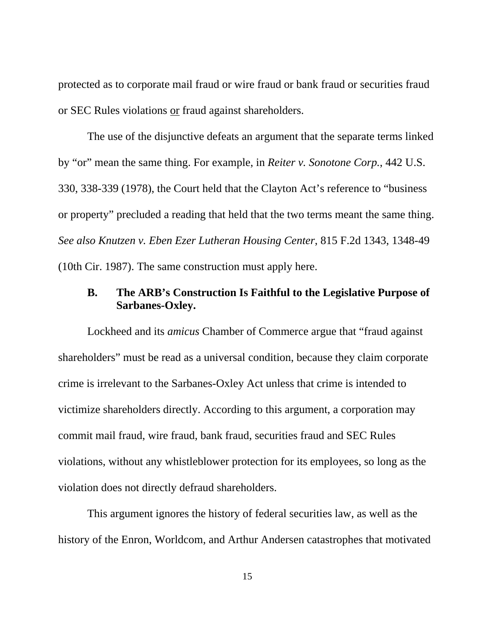protected as to corporate mail fraud or wire fraud or bank fraud or securities fraud or SEC Rules violations or fraud against shareholders.

 The use of the disjunctive defeats an argument that the separate terms linked by "or" mean the same thing. For example, in *Reiter v. Sonotone Corp.*, 442 U.S. 330, 338-339 (1978), the Court held that the Clayton Act's reference to "business or property" precluded a reading that held that the two terms meant the same thing. *See also Knutzen v. Eben Ezer Lutheran Housing Center*, 815 F.2d 1343, 1348-49 (10th Cir. 1987). The same construction must apply here.

## **B. The ARB's Construction Is Faithful to the Legislative Purpose of Sarbanes-Oxley.**

Lockheed and its *amicus* Chamber of Commerce argue that "fraud against shareholders" must be read as a universal condition, because they claim corporate crime is irrelevant to the Sarbanes-Oxley Act unless that crime is intended to victimize shareholders directly. According to this argument, a corporation may commit mail fraud, wire fraud, bank fraud, securities fraud and SEC Rules violations, without any whistleblower protection for its employees, so long as the violation does not directly defraud shareholders.

 This argument ignores the history of federal securities law, as well as the history of the Enron, Worldcom, and Arthur Andersen catastrophes that motivated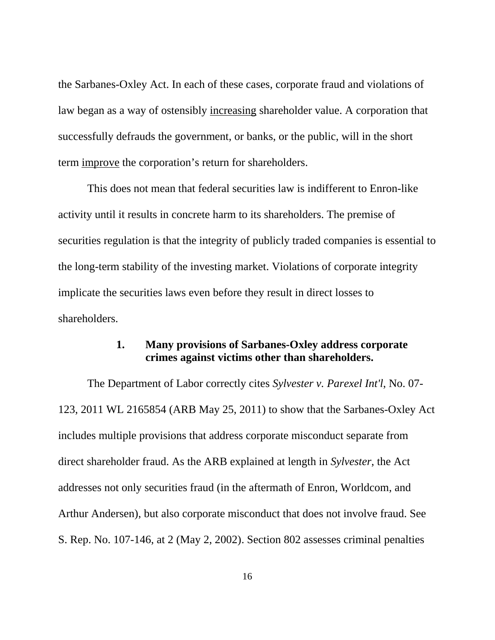the Sarbanes-Oxley Act. In each of these cases, corporate fraud and violations of law began as a way of ostensibly increasing shareholder value. A corporation that successfully defrauds the government, or banks, or the public, will in the short term improve the corporation's return for shareholders.

 This does not mean that federal securities law is indifferent to Enron-like activity until it results in concrete harm to its shareholders. The premise of securities regulation is that the integrity of publicly traded companies is essential to the long-term stability of the investing market. Violations of corporate integrity implicate the securities laws even before they result in direct losses to shareholders.

### **1. Many provisions of Sarbanes-Oxley address corporate crimes against victims other than shareholders.**

The Department of Labor correctly cites *Sylvester v. Parexel Int'l*, No. 07- 123, 2011 WL 2165854 (ARB May 25, 2011) to show that the Sarbanes-Oxley Act includes multiple provisions that address corporate misconduct separate from direct shareholder fraud. As the ARB explained at length in *Sylvester*, the Act addresses not only securities fraud (in the aftermath of Enron, Worldcom, and Arthur Andersen), but also corporate misconduct that does not involve fraud. See S. Rep. No. 107-146, at 2 (May 2, 2002). Section 802 assesses criminal penalties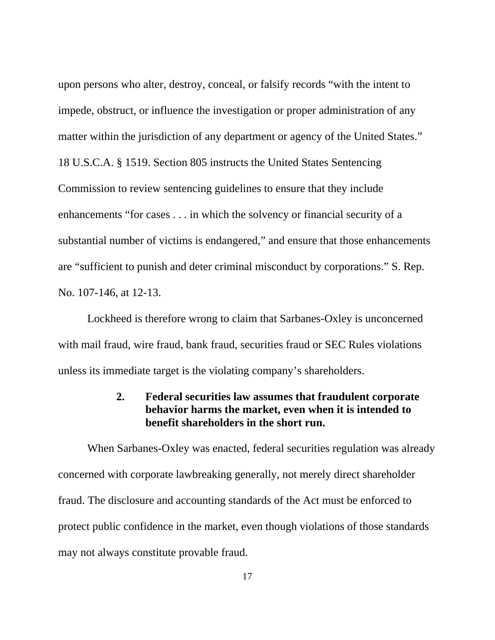upon persons who alter, destroy, conceal, or falsify records "with the intent to impede, obstruct, or influence the investigation or proper administration of any matter within the jurisdiction of any department or agency of the United States." 18 U.S.C.A. § 1519. Section 805 instructs the United States Sentencing Commission to review sentencing guidelines to ensure that they include enhancements "for cases . . . in which the solvency or financial security of a substantial number of victims is endangered," and ensure that those enhancements are "sufficient to punish and deter criminal misconduct by corporations." S. Rep. No. 107-146, at 12-13.

 Lockheed is therefore wrong to claim that Sarbanes-Oxley is unconcerned with mail fraud, wire fraud, bank fraud, securities fraud or SEC Rules violations unless its immediate target is the violating company's shareholders.

# **2. Federal securities law assumes that fraudulent corporate behavior harms the market, even when it is intended to benefit shareholders in the short run.**

 When Sarbanes-Oxley was enacted, federal securities regulation was already concerned with corporate lawbreaking generally, not merely direct shareholder fraud. The disclosure and accounting standards of the Act must be enforced to protect public confidence in the market, even though violations of those standards may not always constitute provable fraud.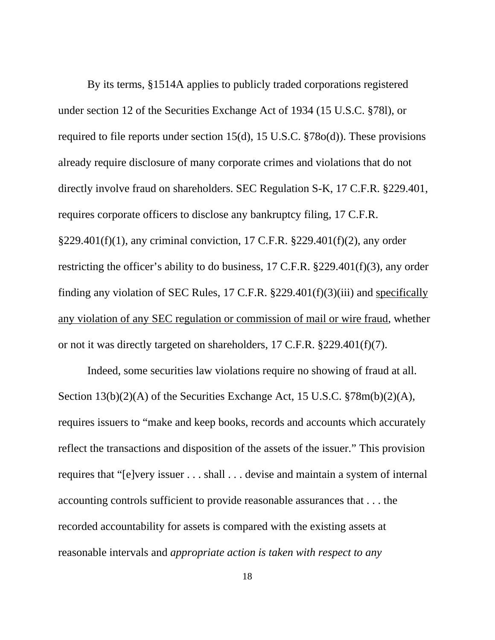By its terms, §1514A applies to publicly traded corporations registered under section 12 of the Securities Exchange Act of 1934 (15 U.S.C. §78l), or required to file reports under section 15(d), 15 U.S.C. §78o(d)). These provisions already require disclosure of many corporate crimes and violations that do not directly involve fraud on shareholders. SEC Regulation S-K, 17 C.F.R. §229.401, requires corporate officers to disclose any bankruptcy filing, 17 C.F.R. §229.401(f)(1), any criminal conviction, 17 C.F.R. §229.401(f)(2), any order restricting the officer's ability to do business, 17 C.F.R. §229.401(f)(3), any order finding any violation of SEC Rules, 17 C.F.R. §229.401(f)(3)(iii) and specifically any violation of any SEC regulation or commission of mail or wire fraud, whether or not it was directly targeted on shareholders, 17 C.F.R. §229.401(f)(7).

 Indeed, some securities law violations require no showing of fraud at all. Section 13(b)(2)(A) of the Securities Exchange Act, 15 U.S.C. §78m(b)(2)(A), requires issuers to "make and keep books, records and accounts which accurately reflect the transactions and disposition of the assets of the issuer." This provision requires that "[e]very issuer . . . shall . . . devise and maintain a system of internal accounting controls sufficient to provide reasonable assurances that . . . the recorded accountability for assets is compared with the existing assets at reasonable intervals and *appropriate action is taken with respect to any*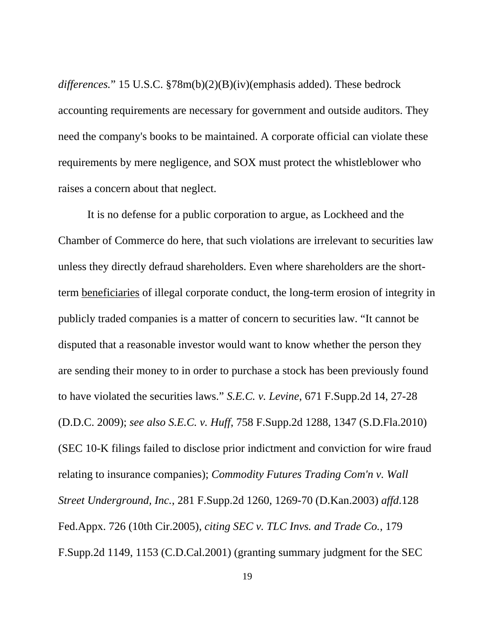*differences.*" 15 U.S.C. §78m(b)(2)(B)(iv)(emphasis added). These bedrock accounting requirements are necessary for government and outside auditors. They need the company's books to be maintained. A corporate official can violate these requirements by mere negligence, and SOX must protect the whistleblower who raises a concern about that neglect.

 It is no defense for a public corporation to argue, as Lockheed and the Chamber of Commerce do here, that such violations are irrelevant to securities law unless they directly defraud shareholders. Even where shareholders are the shortterm beneficiaries of illegal corporate conduct, the long-term erosion of integrity in publicly traded companies is a matter of concern to securities law. "It cannot be disputed that a reasonable investor would want to know whether the person they are sending their money to in order to purchase a stock has been previously found to have violated the securities laws." *S.E.C. v. Levine*, 671 F.Supp.2d 14, 27-28 (D.D.C. 2009); *see also S.E.C. v. Huff*, 758 F.Supp.2d 1288, 1347 (S.D.Fla.2010) (SEC 10-K filings failed to disclose prior indictment and conviction for wire fraud relating to insurance companies); *Commodity Futures Trading Com'n v. Wall Street Underground, Inc.*, 281 F.Supp.2d 1260, 1269-70 (D.Kan.2003) *affd*.128 Fed.Appx. 726 (10th Cir.2005), *citing SEC v. TLC Invs. and Trade Co.*, 179 F.Supp.2d 1149, 1153 (C.D.Cal.2001) (granting summary judgment for the SEC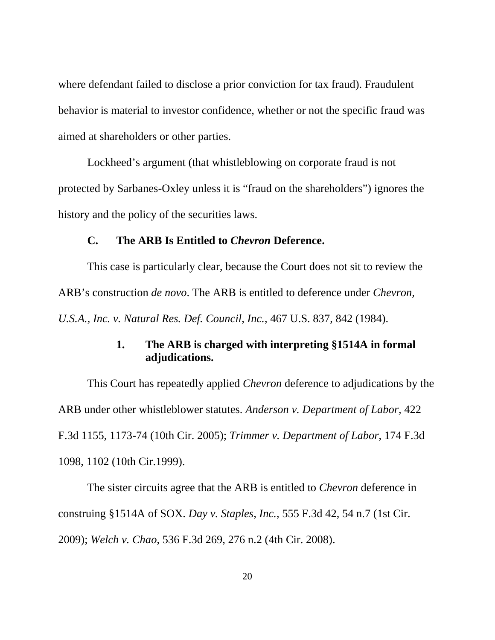where defendant failed to disclose a prior conviction for tax fraud). Fraudulent behavior is material to investor confidence, whether or not the specific fraud was aimed at shareholders or other parties.

 Lockheed's argument (that whistleblowing on corporate fraud is not protected by Sarbanes-Oxley unless it is "fraud on the shareholders") ignores the history and the policy of the securities laws.

#### **C. The ARB Is Entitled to** *Chevron* **Deference.**

 This case is particularly clear, because the Court does not sit to review the ARB's construction *de novo*. The ARB is entitled to deference under *Chevron, U.S.A., Inc. v. Natural Res. Def. Council, Inc.*, 467 U.S. 837, 842 (1984).

### **1. The ARB is charged with interpreting §1514A in formal adjudications.**

 This Court has repeatedly applied *Chevron* deference to adjudications by the ARB under other whistleblower statutes. *Anderson v. Department of Labor,* 422 F.3d 1155, 1173-74 (10th Cir. 2005); *Trimmer v. Department of Labor*, 174 F.3d 1098, 1102 (10th Cir.1999).

 The sister circuits agree that the ARB is entitled to *Chevron* deference in construing §1514A of SOX. *Day v. Staples, Inc.*, 555 F.3d 42, 54 n.7 (1st Cir. 2009); *Welch v. Chao*, 536 F.3d 269, 276 n.2 (4th Cir. 2008).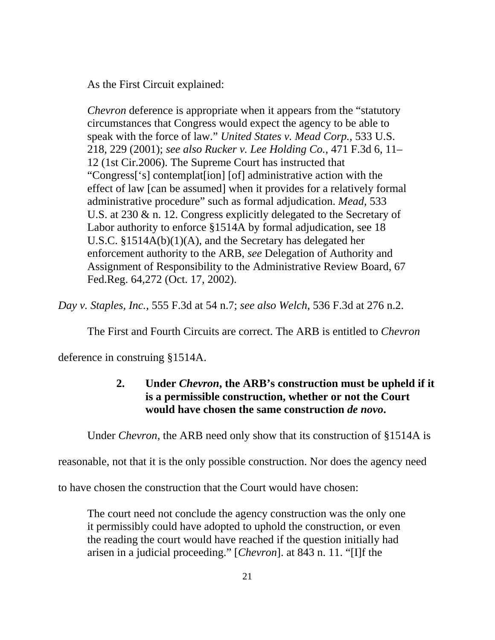As the First Circuit explained:

*Chevron* deference is appropriate when it appears from the "statutory circumstances that Congress would expect the agency to be able to speak with the force of law." *United States v. Mead Corp.*, 533 U.S. 218, 229 (2001); *see also Rucker v. Lee Holding Co.*, 471 F.3d 6, 11– 12 (1st Cir.2006). The Supreme Court has instructed that "Congress['s] contemplat[ion] [of] administrative action with the effect of law [can be assumed] when it provides for a relatively formal administrative procedure" such as formal adjudication. *Mead*, 533 U.S. at 230 & n. 12. Congress explicitly delegated to the Secretary of Labor authority to enforce §1514A by formal adjudication, see 18 U.S.C. §1514A(b)(1)(A), and the Secretary has delegated her enforcement authority to the ARB, *see* Delegation of Authority and Assignment of Responsibility to the Administrative Review Board, 67 Fed.Reg. 64,272 (Oct. 17, 2002).

*Day v. Staples, Inc.*, 555 F.3d at 54 n.7; *see also Welch*, 536 F.3d at 276 n.2.

The First and Fourth Circuits are correct. The ARB is entitled to *Chevron*

deference in construing §1514A.

# **2. Under** *Chevron***, the ARB's construction must be upheld if it is a permissible construction, whether or not the Court would have chosen the same construction** *de novo***.**

Under *Chevron*, the ARB need only show that its construction of §1514A is

reasonable, not that it is the only possible construction. Nor does the agency need

to have chosen the construction that the Court would have chosen:

The court need not conclude the agency construction was the only one it permissibly could have adopted to uphold the construction, or even the reading the court would have reached if the question initially had arisen in a judicial proceeding." [*Chevron*]. at 843 n. 11. "[I]f the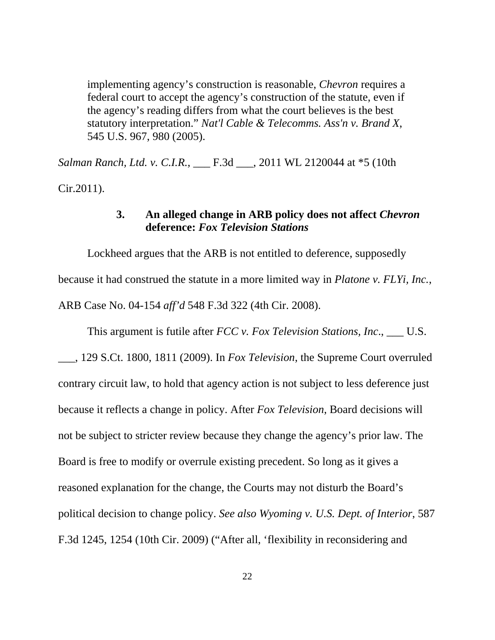implementing agency's construction is reasonable, *Chevron* requires a federal court to accept the agency's construction of the statute, even if the agency's reading differs from what the court believes is the best statutory interpretation." *Nat'l Cable & Telecomms. Ass'n v. Brand X*, 545 U.S. 967, 980 (2005).

*Salman Ranch, Ltd. v. C.I.R.*, \_\_\_ F.3d \_\_\_, 2011 WL 2120044 at \*5 (10th Cir.2011).

### **3. An alleged change in ARB policy does not affect** *Chevron* **deference:** *Fox Television Stations*

 Lockheed argues that the ARB is not entitled to deference, supposedly because it had construed the statute in a more limited way in *Platone v. FLYi, Inc.*, ARB Case No. 04-154 *aff'd* 548 F.3d 322 (4th Cir. 2008).

This argument is futile after *FCC v. Fox Television Stations, Inc*., \_\_\_ U.S.

\_\_\_, 129 S.Ct. 1800, 1811 (2009). In *Fox Television*, the Supreme Court overruled contrary circuit law, to hold that agency action is not subject to less deference just because it reflects a change in policy. After *Fox Television*, Board decisions will not be subject to stricter review because they change the agency's prior law. The Board is free to modify or overrule existing precedent. So long as it gives a reasoned explanation for the change, the Courts may not disturb the Board's political decision to change policy. *See also Wyoming v. U.S. Dept. of Interior*, 587 F.3d 1245, 1254 (10th Cir. 2009) ("After all, 'flexibility in reconsidering and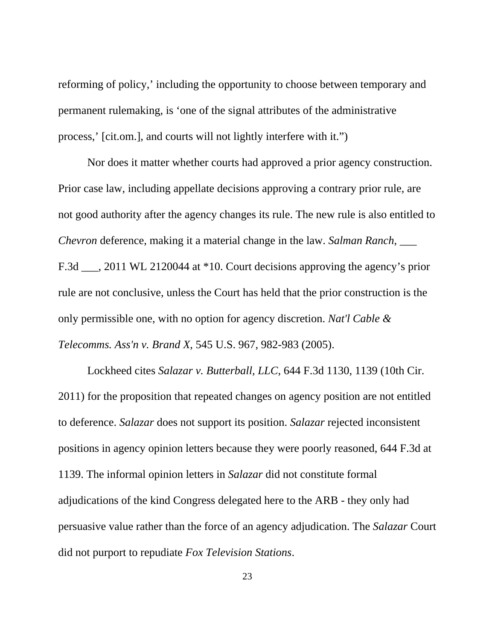reforming of policy,' including the opportunity to choose between temporary and permanent rulemaking, is 'one of the signal attributes of the administrative process,' [cit.om.], and courts will not lightly interfere with it.")

 Nor does it matter whether courts had approved a prior agency construction. Prior case law, including appellate decisions approving a contrary prior rule, are not good authority after the agency changes its rule. The new rule is also entitled to *Chevron* deference, making it a material change in the law. *Salman Ranch*, \_\_\_ F.3d \_\_\_, 2011 WL 2120044 at \*10. Court decisions approving the agency's prior rule are not conclusive, unless the Court has held that the prior construction is the only permissible one, with no option for agency discretion. *Nat'l Cable & Telecomms. Ass'n v. Brand X*, 545 U.S. 967, 982-983 (2005).

 Lockheed cites *Salazar v. Butterball, LLC*, 644 F.3d 1130, 1139 (10th Cir. 2011) for the proposition that repeated changes on agency position are not entitled to deference. *Salazar* does not support its position. *Salazar* rejected inconsistent positions in agency opinion letters because they were poorly reasoned, 644 F.3d at 1139. The informal opinion letters in *Salazar* did not constitute formal adjudications of the kind Congress delegated here to the ARB - they only had persuasive value rather than the force of an agency adjudication. The *Salazar* Court did not purport to repudiate *Fox Television Stations*.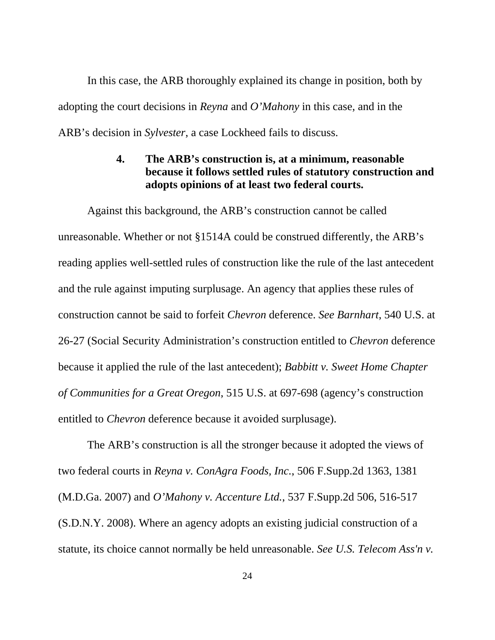In this case, the ARB thoroughly explained its change in position, both by adopting the court decisions in *Reyna* and *O'Mahony* in this case, and in the ARB's decision in *Sylvester*, a case Lockheed fails to discuss.

# **4. The ARB's construction is, at a minimum, reasonable because it follows settled rules of statutory construction and adopts opinions of at least two federal courts.**

 Against this background, the ARB's construction cannot be called unreasonable. Whether or not §1514A could be construed differently, the ARB's reading applies well-settled rules of construction like the rule of the last antecedent and the rule against imputing surplusage. An agency that applies these rules of construction cannot be said to forfeit *Chevron* deference. *See Barnhart*, 540 U.S. at 26-27 (Social Security Administration's construction entitled to *Chevron* deference because it applied the rule of the last antecedent); *Babbitt v. Sweet Home Chapter of Communities for a Great Oregon*, 515 U.S. at 697-698 (agency's construction entitled to *Chevron* deference because it avoided surplusage).

 The ARB's construction is all the stronger because it adopted the views of two federal courts in *Reyna v. ConAgra Foods, Inc.*, 506 F.Supp.2d 1363, 1381 (M.D.Ga. 2007) and *O'Mahony v. Accenture Ltd.*, 537 F.Supp.2d 506, 516-517 (S.D.N.Y. 2008). Where an agency adopts an existing judicial construction of a statute, its choice cannot normally be held unreasonable. *See U.S. Telecom Ass'n v.*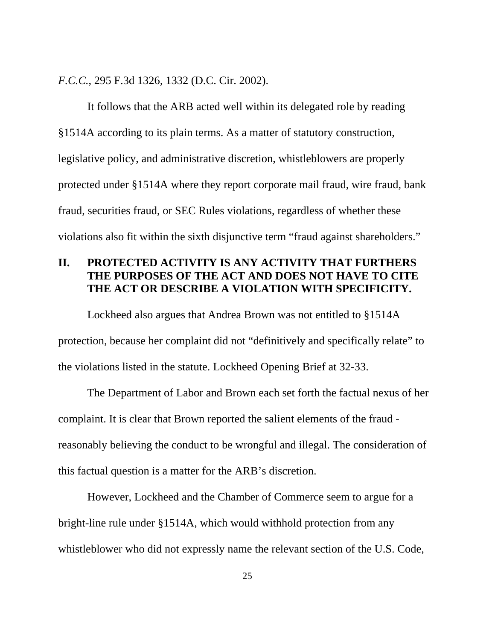*F.C.C.*, 295 F.3d 1326, 1332 (D.C. Cir. 2002).

 It follows that the ARB acted well within its delegated role by reading §1514A according to its plain terms. As a matter of statutory construction, legislative policy, and administrative discretion, whistleblowers are properly protected under §1514A where they report corporate mail fraud, wire fraud, bank fraud, securities fraud, or SEC Rules violations, regardless of whether these violations also fit within the sixth disjunctive term "fraud against shareholders."

# **II. PROTECTED ACTIVITY IS ANY ACTIVITY THAT FURTHERS THE PURPOSES OF THE ACT AND DOES NOT HAVE TO CITE THE ACT OR DESCRIBE A VIOLATION WITH SPECIFICITY.**

 Lockheed also argues that Andrea Brown was not entitled to §1514A protection, because her complaint did not "definitively and specifically relate" to the violations listed in the statute. Lockheed Opening Brief at 32-33.

 The Department of Labor and Brown each set forth the factual nexus of her complaint. It is clear that Brown reported the salient elements of the fraud reasonably believing the conduct to be wrongful and illegal. The consideration of this factual question is a matter for the ARB's discretion.

 However, Lockheed and the Chamber of Commerce seem to argue for a bright-line rule under §1514A, which would withhold protection from any whistleblower who did not expressly name the relevant section of the U.S. Code,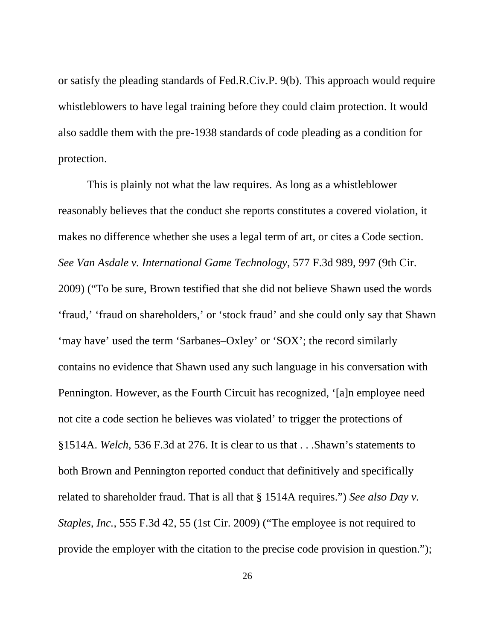or satisfy the pleading standards of Fed.R.Civ.P. 9(b). This approach would require whistleblowers to have legal training before they could claim protection. It would also saddle them with the pre-1938 standards of code pleading as a condition for protection.

 This is plainly not what the law requires. As long as a whistleblower reasonably believes that the conduct she reports constitutes a covered violation, it makes no difference whether she uses a legal term of art, or cites a Code section. *See Van Asdale v. International Game Technology*, 577 F.3d 989, 997 (9th Cir. 2009) ("To be sure, Brown testified that she did not believe Shawn used the words 'fraud,' 'fraud on shareholders,' or 'stock fraud' and she could only say that Shawn 'may have' used the term 'Sarbanes–Oxley' or 'SOX'; the record similarly contains no evidence that Shawn used any such language in his conversation with Pennington. However, as the Fourth Circuit has recognized, '[a]n employee need not cite a code section he believes was violated' to trigger the protections of §1514A. *Welch*, 536 F.3d at 276. It is clear to us that . . .Shawn's statements to both Brown and Pennington reported conduct that definitively and specifically related to shareholder fraud. That is all that § 1514A requires.") *See also Day v. Staples, Inc.*, 555 F.3d 42, 55 (1st Cir. 2009) ("The employee is not required to provide the employer with the citation to the precise code provision in question.");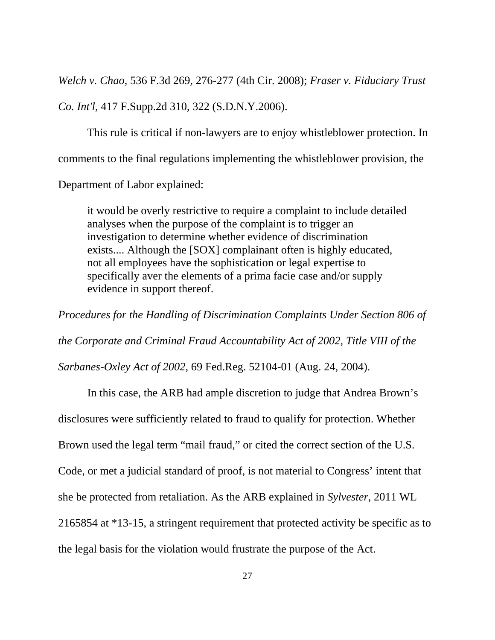*Welch v. Chao*, 536 F.3d 269, 276-277 (4th Cir. 2008); *Fraser v. Fiduciary Trust Co. Int'l*, 417 F.Supp.2d 310, 322 (S.D.N.Y.2006).

 This rule is critical if non-lawyers are to enjoy whistleblower protection. In comments to the final regulations implementing the whistleblower provision, the

Department of Labor explained:

it would be overly restrictive to require a complaint to include detailed analyses when the purpose of the complaint is to trigger an investigation to determine whether evidence of discrimination exists.... Although the [SOX] complainant often is highly educated, not all employees have the sophistication or legal expertise to specifically aver the elements of a prima facie case and/or supply evidence in support thereof.

*Procedures for the Handling of Discrimination Complaints Under Section 806 of the Corporate and Criminal Fraud Accountability Act of 2002, Title VIII of the Sarbanes-Oxley Act of 2002*, 69 Fed.Reg. 52104-01 (Aug. 24, 2004).

 In this case, the ARB had ample discretion to judge that Andrea Brown's disclosures were sufficiently related to fraud to qualify for protection. Whether Brown used the legal term "mail fraud," or cited the correct section of the U.S. Code, or met a judicial standard of proof, is not material to Congress' intent that she be protected from retaliation. As the ARB explained in *Sylvester*, 2011 WL 2165854 at \*13-15, a stringent requirement that protected activity be specific as to the legal basis for the violation would frustrate the purpose of the Act.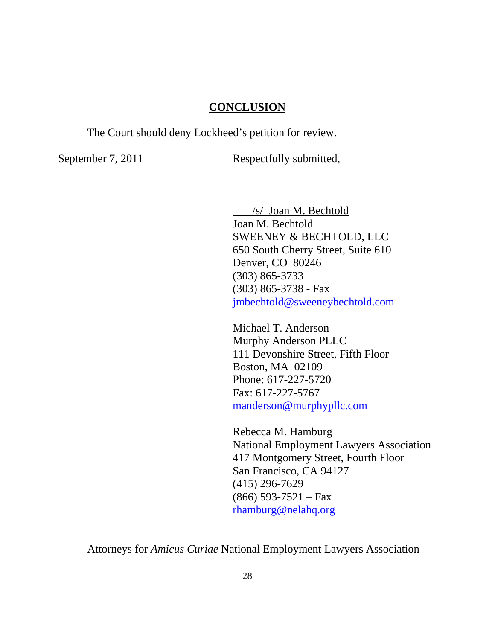### **CONCLUSION**

The Court should deny Lockheed's petition for review.

September 7, 2011 Respectfully submitted,

 /s/ Joan M. Bechtold Joan M. Bechtold SWEENEY & BECHTOLD, LLC 650 South Cherry Street, Suite 610 Denver, CO 80246 (303) 865-3733 (303) 865-3738 - Fax jmbechtold@sweeneybechtold.com

 Michael T. Anderson Murphy Anderson PLLC 111 Devonshire Street, Fifth Floor Boston, MA 02109 Phone: 617-227-5720 Fax: 617-227-5767 manderson@murphypllc.com

Rebecca M. Hamburg National Employment Lawyers Association 417 Montgomery Street, Fourth Floor San Francisco, CA 94127 (415) 296-7629  $(866)$  593-7521 – Fax rhamburg@nelahq.org

Attorneys for *Amicus Curiae* National Employment Lawyers Association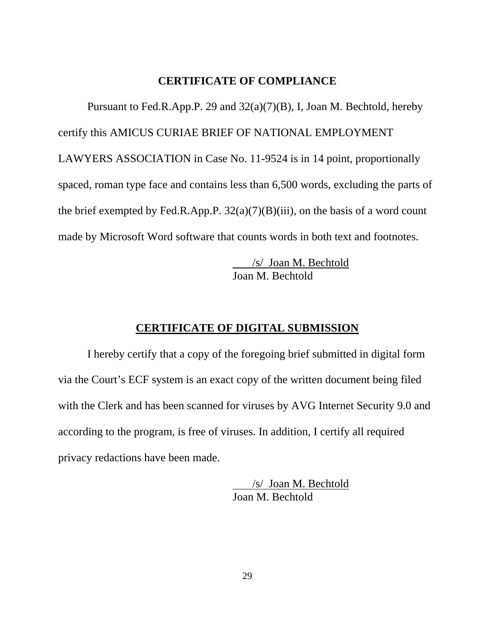#### **CERTIFICATE OF COMPLIANCE**

 Pursuant to Fed.R.App.P. 29 and 32(a)(7)(B), I, Joan M. Bechtold, hereby certify this AMICUS CURIAE BRIEF OF NATIONAL EMPLOYMENT LAWYERS ASSOCIATION in Case No. 11-9524 is in 14 point, proportionally spaced, roman type face and contains less than 6,500 words, excluding the parts of the brief exempted by Fed.R.App.P.  $32(a)(7)(B)(iii)$ , on the basis of a word count made by Microsoft Word software that counts words in both text and footnotes.

> /s/ Joan M. Bechtold Joan M. Bechtold

#### **CERTIFICATE OF DIGITAL SUBMISSION**

 I hereby certify that a copy of the foregoing brief submitted in digital form via the Court's ECF system is an exact copy of the written document being filed with the Clerk and has been scanned for viruses by AVG Internet Security 9.0 and according to the program, is free of viruses. In addition, I certify all required privacy redactions have been made.

> /s/ Joan M. Bechtold Joan M. Bechtold